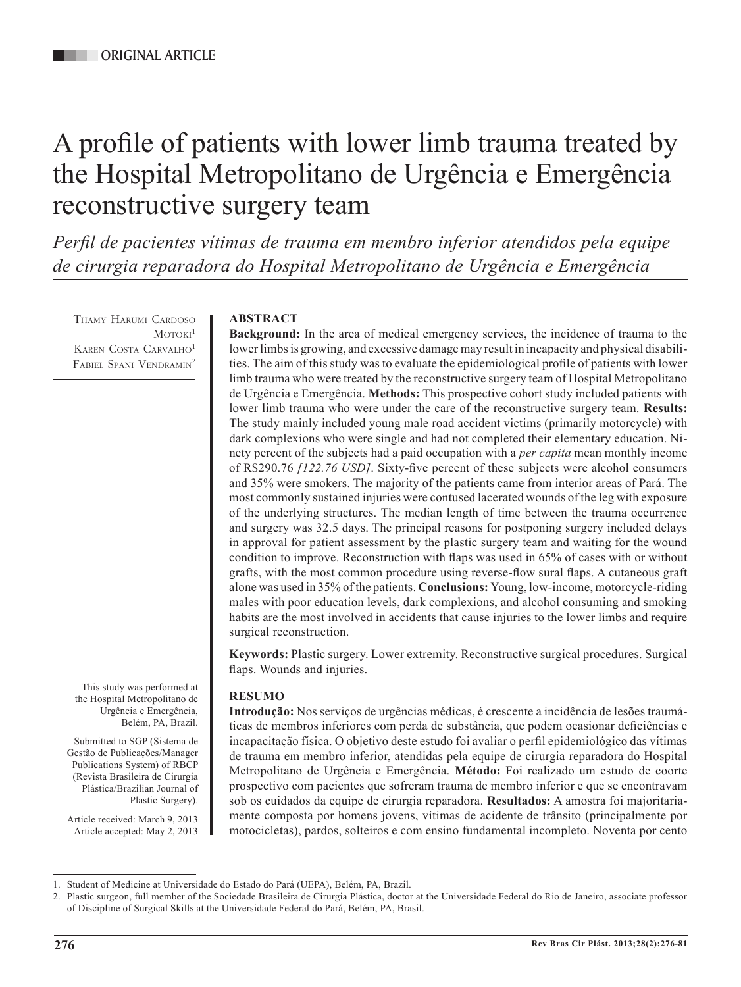# A profile of patients with lower limb trauma treated by the Hospital Metropolitano de Urgência e Emergência reconstructive surgery team

*Perfil de pacientes vítimas de trauma em membro inferior atendidos pela equipe de cirurgia reparadora do Hospital Metropolitano de Urgência e Emergência*

Thamy Harumi Cardoso  $M$ OTOKI $<sup>1</sup>$ </sup> KAREN COSTA CARVALHO<sup>1</sup> FABIEL SPANI VENDRAMIN<sup>2</sup>

# **ABSTRACT**

**Background:** In the area of medical emergency services, the incidence of trauma to the lower limbs is growing, and excessive damage may result in incapacity and physical disabilities. The aim of this study was to evaluate the epidemiological profile of patients with lower limb trauma who were treated by the reconstructive surgery team of Hospital Metropolitano de Urgência e Emergência. **Methods:** This prospective cohort study included patients with lower limb trauma who were under the care of the reconstructive surgery team. **Results:**  The study mainly included young male road accident victims (primarily motorcycle) with dark complexions who were single and had not completed their elementary education. Ninety percent of the subjects had a paid occupation with a *per capita* mean monthly income of R\$290.76 *[122.76 USD]*. Sixty-five percent of these subjects were alcohol consumers and 35% were smokers. The majority of the patients came from interior areas of Pará. The most commonly sustained injuries were contused lacerated wounds of the leg with exposure of the underlying structures. The median length of time between the trauma occurrence and surgery was 32.5 days. The principal reasons for postponing surgery included delays in approval for patient assessment by the plastic surgery team and waiting for the wound condition to improve. Reconstruction with flaps was used in 65% of cases with or without grafts, with the most common procedure using reverse-flow sural flaps. A cutaneous graft alone was used in 35% of the patients. **Conclusions:** Young, low-income, motorcycle-riding males with poor education levels, dark complexions, and alcohol consuming and smoking habits are the most involved in accidents that cause injuries to the lower limbs and require surgical reconstruction.

**Keywords:** Plastic surgery. Lower extremity. Reconstructive surgical procedures. Surgical flaps. Wounds and injuries.

# **RESUMO**

**Introdução:** Nos serviços de urgências médicas, é crescente a incidência de lesões traumáticas de membros inferiores com perda de substância, que podem ocasionar deficiências e incapacitação física. O objetivo deste estudo foi avaliar o perfil epidemiológico das vítimas de trauma em membro inferior, atendidas pela equipe de cirurgia reparadora do Hospital Metropolitano de Urgência e Emergência. **Método:** Foi realizado um estudo de coorte prospectivo com pacientes que sofreram trauma de membro inferior e que se encontravam sob os cuidados da equipe de cirurgia reparadora. **Resultados:** A amostra foi majoritariamente composta por homens jovens, vítimas de acidente de trânsito (principalmente por motocicletas), pardos, solteiros e com ensino fundamental incompleto. Noventa por cento

the Hospital Metropolitano de Urgência e Emergência, Belém, PA, Brazil.

This study was performed at

Submitted to SGP (Sistema de Gestão de Publicações/Manager Publications System) of RBCP (Revista Brasileira de Cirurgia Plástica/Brazilian Journal of Plastic Surgery).

Article received: March 9, 2013 Article accepted: May 2, 2013

<sup>1.</sup> Student of Medicine at Universidade do Estado do Pará (UEPA), Belém, PA, Brazil.

<sup>2.</sup> Plastic surgeon, full member of the Sociedade Brasileira de Cirurgia Plástica, doctor at the Universidade Federal do Rio de Janeiro, associate professor of Discipline of Surgical Skills at the Universidade Federal do Pará, Belém, PA, Brasil.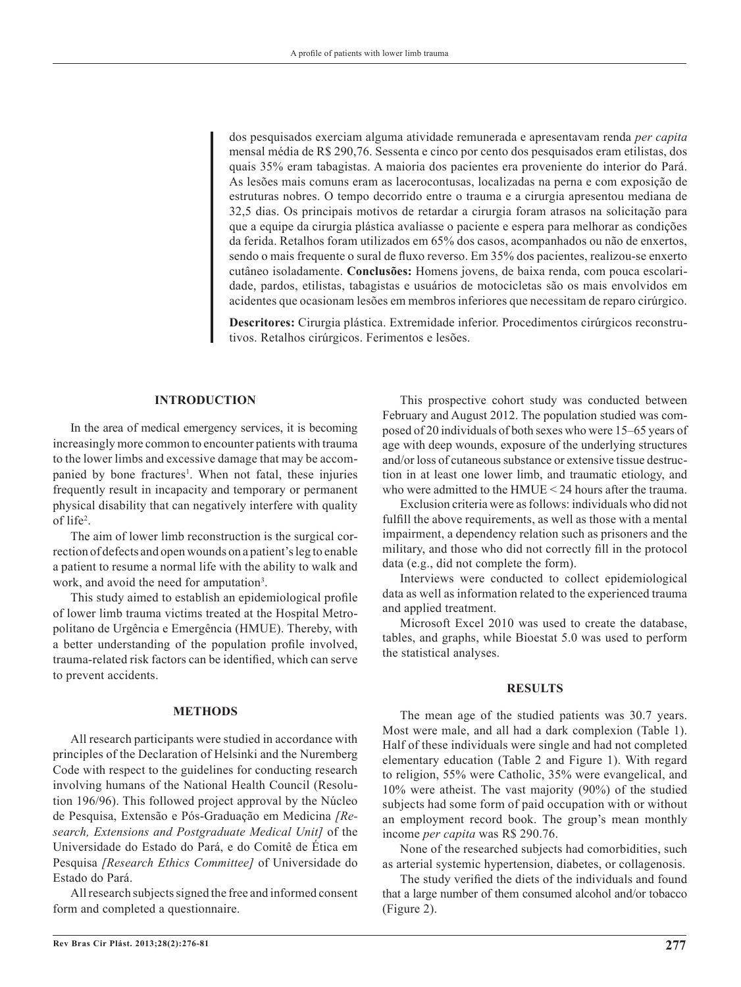dos pesquisados exerciam alguma atividade remunerada e apresentavam renda *per capita* mensal média de R\$ 290,76. Sessenta e cinco por cento dos pesquisados eram etilistas, dos quais 35% eram tabagistas. A maioria dos pacientes era proveniente do interior do Pará. As lesões mais comuns eram as lacerocontusas, localizadas na perna e com exposição de estruturas nobres. O tempo decorrido entre o trauma e a cirurgia apresentou mediana de 32,5 dias. Os principais motivos de retardar a cirurgia foram atrasos na solicitação para que a equipe da cirurgia plástica avaliasse o paciente e espera para melhorar as condições da ferida. Retalhos foram utilizados em 65% dos casos, acompanhados ou não de enxertos, sendo o mais frequente o sural de fluxo reverso. Em 35% dos pacientes, realizou-se enxerto cutâneo isoladamente. **Conclusões:** Homens jovens, de baixa renda, com pouca escolaridade, pardos, etilistas, tabagistas e usuários de motocicletas são os mais envolvidos em acidentes que ocasionam lesões em membros inferiores que necessitam de reparo cirúrgico.

**Descritores:** Cirurgia plástica. Extremidade inferior. Procedimentos cirúrgicos reconstrutivos. Retalhos cirúrgicos. Ferimentos e lesões.

## **INTRODUCTION**

In the area of medical emergency services, it is becoming increasingly more common to encounter patients with trauma to the lower limbs and excessive damage that may be accompanied by bone fractures<sup>1</sup>. When not fatal, these injuries frequently result in incapacity and temporary or permanent physical disability that can negatively interfere with quality of life2 .

The aim of lower limb reconstruction is the surgical correction of defects and open wounds on a patient's leg to enable a patient to resume a normal life with the ability to walk and work, and avoid the need for amputation<sup>3</sup>.

This study aimed to establish an epidemiological profile of lower limb trauma victims treated at the Hospital Metropolitano de Urgência e Emergência (HMUE). Thereby, with a better understanding of the population profile involved, trauma-related risk factors can be identified, which can serve to prevent accidents.

#### **METHODS**

All research participants were studied in accordance with principles of the Declaration of Helsinki and the Nuremberg Code with respect to the guidelines for conducting research involving humans of the National Health Council (Resolution 196/96). This followed project approval by the Núcleo de Pesquisa, Extensão e Pós-Graduação em Medicina *[Research, Extensions and Postgraduate Medical Unit]* of the Universidade do Estado do Pará, e do Comitê de Ética em Pesquisa *[Research Ethics Committee]* of Universidade do Estado do Pará.

All research subjects signed the free and informed consent form and completed a questionnaire.

This prospective cohort study was conducted between February and August 2012. The population studied was composed of 20 individuals of both sexes who were 15–65 years of age with deep wounds, exposure of the underlying structures and/or loss of cutaneous substance or extensive tissue destruction in at least one lower limb, and traumatic etiology, and who were admitted to the HMUE < 24 hours after the trauma.

Exclusion criteria were as follows: individuals who did not fulfill the above requirements, as well as those with a mental impairment, a dependency relation such as prisoners and the military, and those who did not correctly fill in the protocol data (e.g., did not complete the form).

Interviews were conducted to collect epidemiological data as well as information related to the experienced trauma and applied treatment.

Microsoft Excel 2010 was used to create the database, tables, and graphs, while Bioestat 5.0 was used to perform the statistical analyses.

## **RESULTS**

The mean age of the studied patients was 30.7 years. Most were male, and all had a dark complexion (Table 1). Half of these individuals were single and had not completed elementary education (Table 2 and Figure 1). With regard to religion, 55% were Catholic, 35% were evangelical, and 10% were atheist. The vast majority (90%) of the studied subjects had some form of paid occupation with or without an employment record book. The group's mean monthly income *per capita* was R\$ 290.76.

None of the researched subjects had comorbidities, such as arterial systemic hypertension, diabetes, or collagenosis.

The study verified the diets of the individuals and found that a large number of them consumed alcohol and/or tobacco (Figure 2).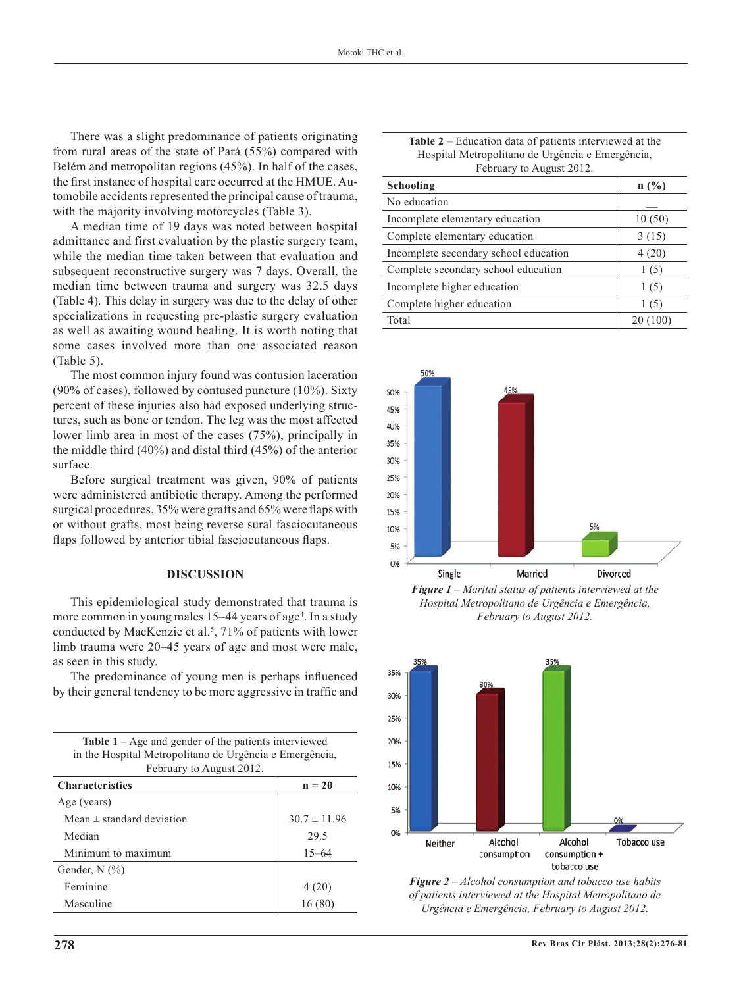There was a slight predominance of patients originating from rural areas of the state of Pará (55%) compared with Belém and metropolitan regions (45%). In half of the cases, the first instance of hospital care occurred at the HMUE. Automobile accidents represented the principal cause of trauma, with the majority involving motorcycles (Table 3).

A median time of 19 days was noted between hospital admittance and first evaluation by the plastic surgery team, while the median time taken between that evaluation and subsequent reconstructive surgery was 7 days. Overall, the median time between trauma and surgery was 32.5 days (Table 4). This delay in surgery was due to the delay of other specializations in requesting pre-plastic surgery evaluation as well as awaiting wound healing. It is worth noting that some cases involved more than one associated reason (Table 5).

The most common injury found was contusion laceration (90% of cases), followed by contused puncture (10%). Sixty percent of these injuries also had exposed underlying structures, such as bone or tendon. The leg was the most affected lower limb area in most of the cases (75%), principally in the middle third (40%) and distal third (45%) of the anterior surface.

Before surgical treatment was given, 90% of patients were administered antibiotic therapy. Among the performed surgical procedures, 35% were grafts and 65% were flaps with or without grafts, most being reverse sural fasciocutaneous flaps followed by anterior tibial fasciocutaneous flaps.

## **DISCUSSION**

This epidemiological study demonstrated that trauma is more common in young males 15–44 years of age<sup>4</sup>. In a study conducted by MacKenzie et al.<sup>5</sup>, 71% of patients with lower limb trauma were 20–45 years of age and most were male, as seen in this study.

The predominance of young men is perhaps influenced by their general tendency to be more aggressive in traffic and

| <b>Table 1</b> – Age and gender of the patients interviewed |                  |  |
|-------------------------------------------------------------|------------------|--|
| in the Hospital Metropolitano de Urgência e Emergência,     |                  |  |
| February to August 2012.                                    |                  |  |
| <b>Characteristics</b>                                      | $n = 20$         |  |
| Age (years)                                                 |                  |  |
| Mean $\pm$ standard deviation                               | $30.7 \pm 11.96$ |  |
| Median                                                      | 29.5             |  |
| Minimum to maximum                                          | $15 - 64$        |  |
| Gender, $N$ $(\% )$                                         |                  |  |
| Feminine                                                    | 4(20)            |  |
| Masculine                                                   | 16(80)           |  |
|                                                             |                  |  |

| <b>Table 2</b> – Education data of patients interviewed at the |
|----------------------------------------------------------------|
| Hospital Metropolitano de Urgência e Emergência,               |
| February to August 2012.                                       |

| Schooling                             | n(%)     |
|---------------------------------------|----------|
| No education                          |          |
| Incomplete elementary education       | 10(50)   |
| Complete elementary education         | 3(15)    |
| Incomplete secondary school education | 4(20)    |
| Complete secondary school education   | 1(5)     |
| Incomplete higher education           | 1(5)     |
| Complete higher education             | 1(5)     |
| Total                                 | 20 (100) |



*Figure 1 – Marital status of patients interviewed at the Hospital Metropolitano de Urgência e Emergência, February to August 2012.*



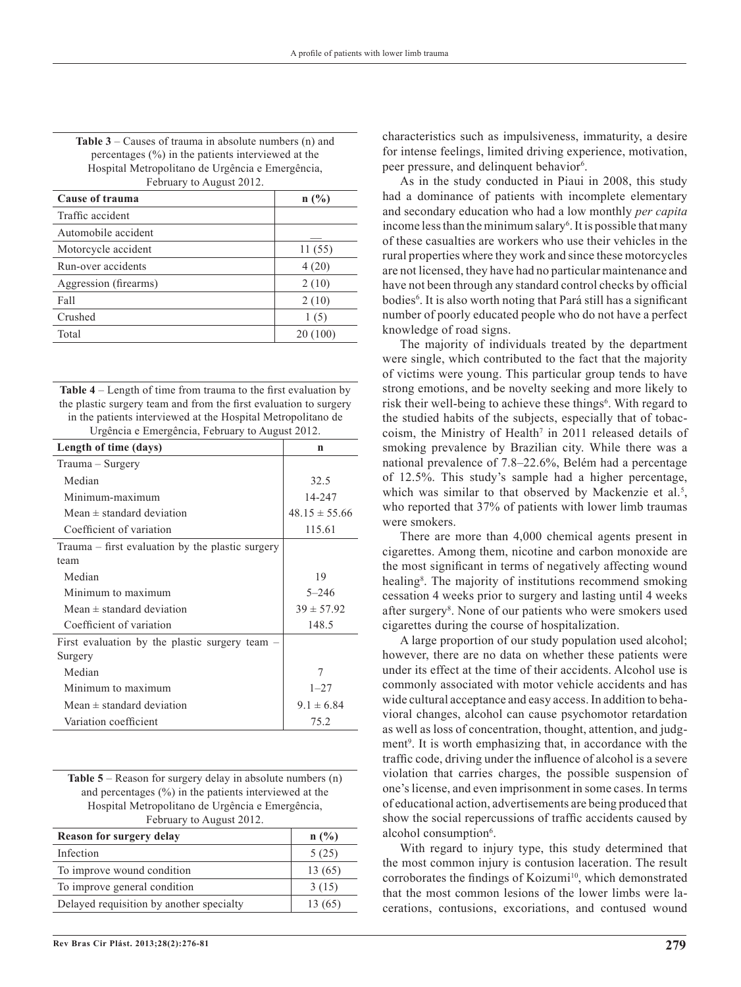| percentages $(\%)$ in the patients interviewed at the |        |
|-------------------------------------------------------|--------|
| Hospital Metropolitano de Urgência e Emergência,      |        |
| February to August 2012.                              |        |
| Cause of trauma                                       | n(%)   |
| Traffic accident                                      |        |
| Automobile accident                                   |        |
| Motorcycle accident                                   | 11(55) |
| Run-over accidents                                    | 4(20)  |
| Aggression (firearms)                                 | 2(10)  |
| Fall                                                  | 2(10)  |
| Crushed                                               | 1(5)   |

**Table 3** – Causes of trauma in absolute numbers (n) and

**Table 4** – Length of time from trauma to the first evaluation by the plastic surgery team and from the first evaluation to surgery in the patients interviewed at the Hospital Metropolitano de Urgência e Emergência, February to August 2012.

Total 20 (100)

| Length of time (days)                                    | n                 |
|----------------------------------------------------------|-------------------|
| Trauma – Surgery                                         |                   |
| Median                                                   | 32.5              |
| Minimum-maximum                                          | 14-247            |
| Mean $\pm$ standard deviation                            | $48.15 \pm 55.66$ |
| Coefficient of variation                                 | 115.61            |
| Trauma - first evaluation by the plastic surgery<br>team |                   |
| Median                                                   | 19                |
| Minimum to maximum                                       | $5 - 246$         |
| Mean $\pm$ standard deviation                            | $39 \pm 57.92$    |
| Coefficient of variation                                 | 148.5             |
| First evaluation by the plastic surgery team $-$         |                   |
| Surgery                                                  |                   |
| Median                                                   | 7                 |
| Minimum to maximum                                       | $1 - 27$          |
| Mean $\pm$ standard deviation                            | $9.1 \pm 6.84$    |
| Variation coefficient                                    | 75.2              |

**Table 5** – Reason for surgery delay in absolute numbers (n) and percentages (%) in the patients interviewed at the Hospital Metropolitano de Urgência e Emergência, February to August 2012.

| n(%)    |
|---------|
|         |
| 5(25)   |
| 13(65)  |
| 3(15)   |
| 13 (65) |
|         |

characteristics such as impulsiveness, immaturity, a desire for intense feelings, limited driving experience, motivation, peer pressure, and delinquent behavior<sup>6</sup>.

As in the study conducted in Piaui in 2008, this study had a dominance of patients with incomplete elementary and secondary education who had a low monthly *per capita* income less than the minimum salary<sup>6</sup>. It is possible that many of these casualties are workers who use their vehicles in the rural properties where they work and since these motorcycles are not licensed, they have had no particular maintenance and have not been through any standard control checks by official bodies<sup>6</sup>. It is also worth noting that Pará still has a significant number of poorly educated people who do not have a perfect knowledge of road signs.

The majority of individuals treated by the department were single, which contributed to the fact that the majority of victims were young. This particular group tends to have strong emotions, and be novelty seeking and more likely to risk their well-being to achieve these things<sup>6</sup>. With regard to the studied habits of the subjects, especially that of tobaccoism, the Ministry of Health<sup>7</sup> in 2011 released details of smoking prevalence by Brazilian city. While there was a national prevalence of 7.8–22.6%, Belém had a percentage of 12.5%. This study's sample had a higher percentage, which was similar to that observed by Mackenzie et al.<sup>5</sup>, who reported that 37% of patients with lower limb traumas were smokers.

There are more than 4,000 chemical agents present in cigarettes. Among them, nicotine and carbon monoxide are the most significant in terms of negatively affecting wound healing<sup>8</sup>. The majority of institutions recommend smoking cessation 4 weeks prior to surgery and lasting until 4 weeks after surgery<sup>8</sup>. None of our patients who were smokers used cigarettes during the course of hospitalization.

A large proportion of our study population used alcohol; however, there are no data on whether these patients were under its effect at the time of their accidents. Alcohol use is commonly associated with motor vehicle accidents and has wide cultural acceptance and easy access. In addition to behavioral changes, alcohol can cause psychomotor retardation as well as loss of concentration, thought, attention, and judgment<sup>9</sup>. It is worth emphasizing that, in accordance with the traffic code, driving under the influence of alcohol is a severe violation that carries charges, the possible suspension of one's license, and even imprisonment in some cases. In terms of educational action, advertisements are being produced that show the social repercussions of traffic accidents caused by alcohol consumption<sup>6</sup>.

With regard to injury type, this study determined that the most common injury is contusion laceration. The result corroborates the findings of Koizumi<sup>10</sup>, which demonstrated that the most common lesions of the lower limbs were lacerations, contusions, excoriations, and contused wound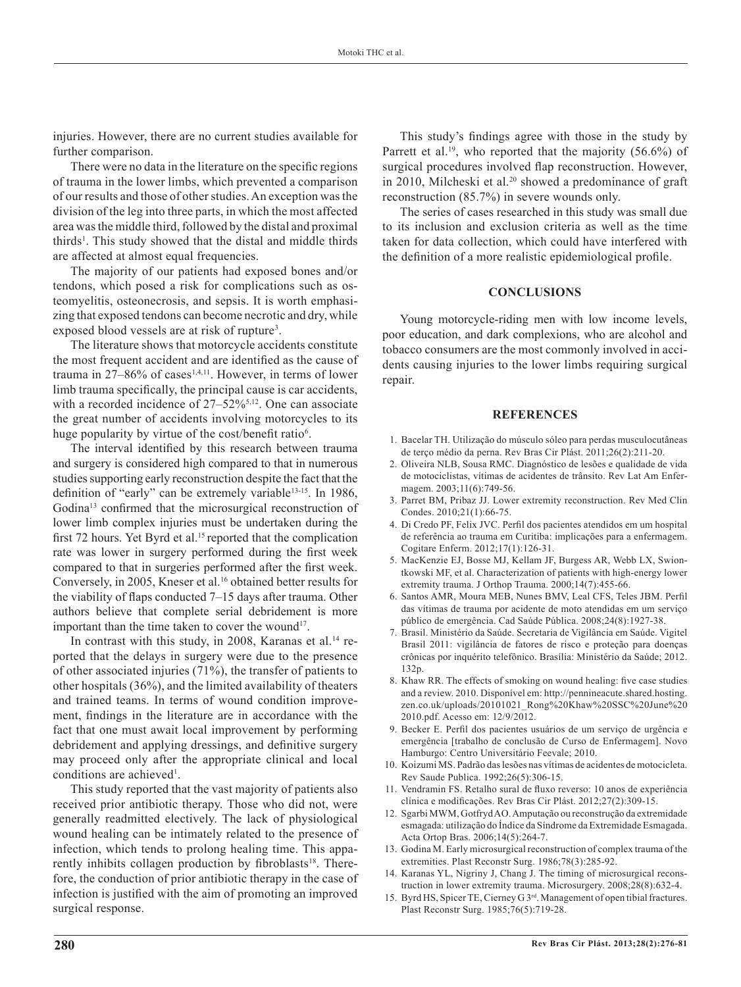injuries. However, there are no current studies available for further comparison.

There were no data in the literature on the specific regions of trauma in the lower limbs, which prevented a comparison of our results and those of other studies. An exception was the division of the leg into three parts, in which the most affected area was the middle third, followed by the distal and proximal thirds<sup>1</sup>. This study showed that the distal and middle thirds are affected at almost equal frequencies.

The majority of our patients had exposed bones and/or tendons, which posed a risk for complications such as osteomyelitis, osteonecrosis, and sepsis. It is worth emphasizing that exposed tendons can become necrotic and dry, while exposed blood vessels are at risk of rupture<sup>3</sup>.

The literature shows that motorcycle accidents constitute the most frequent accident and are identified as the cause of trauma in  $27-86\%$  of cases<sup>1,4,11</sup>. However, in terms of lower limb trauma specifically, the principal cause is car accidents, with a recorded incidence of 27–52%<sup>5,12</sup>. One can associate the great number of accidents involving motorcycles to its huge popularity by virtue of the cost/benefit ratio<sup>6</sup>.

The interval identified by this research between trauma and surgery is considered high compared to that in numerous studies supporting early reconstruction despite the fact that the definition of "early" can be extremely variable<sup>13-15</sup>. In 1986, Godina13 confirmed that the microsurgical reconstruction of lower limb complex injuries must be undertaken during the first 72 hours. Yet Byrd et al.<sup>15</sup> reported that the complication rate was lower in surgery performed during the first week compared to that in surgeries performed after the first week. Conversely, in 2005, Kneser et al.<sup>16</sup> obtained better results for the viability of flaps conducted 7–15 days after trauma. Other authors believe that complete serial debridement is more important than the time taken to cover the wound<sup>17</sup>.

In contrast with this study, in 2008, Karanas et al.<sup>14</sup> reported that the delays in surgery were due to the presence of other associated injuries (71%), the transfer of patients to other hospitals (36%), and the limited availability of theaters and trained teams. In terms of wound condition improvement, findings in the literature are in accordance with the fact that one must await local improvement by performing debridement and applying dressings, and definitive surgery may proceed only after the appropriate clinical and local conditions are achieved<sup>1</sup>.

This study reported that the vast majority of patients also received prior antibiotic therapy. Those who did not, were generally readmitted electively. The lack of physiological wound healing can be intimately related to the presence of infection, which tends to prolong healing time. This apparently inhibits collagen production by fibroblasts<sup>18</sup>. Therefore, the conduction of prior antibiotic therapy in the case of infection is justified with the aim of promoting an improved surgical response.

This study's findings agree with those in the study by Parrett et al.<sup>19</sup>, who reported that the majority  $(56.6\%)$  of surgical procedures involved flap reconstruction. However, in 2010, Milcheski et al.<sup>20</sup> showed a predominance of graft reconstruction (85.7%) in severe wounds only.

The series of cases researched in this study was small due to its inclusion and exclusion criteria as well as the time taken for data collection, which could have interfered with the definition of a more realistic epidemiological profile.

### **CONCLUSIONS**

Young motorcycle-riding men with low income levels, poor education, and dark complexions, who are alcohol and tobacco consumers are the most commonly involved in accidents causing injuries to the lower limbs requiring surgical repair.

#### **REFERENCES**

- 1. Bacelar TH. Utilização do músculo sóleo para perdas musculocutâneas de terço médio da perna. Rev Bras Cir Plást. 2011;26(2):211-20.
- 2. Oliveira NLB, Sousa RMC. Diagnóstico de lesões e qualidade de vida de motociclistas, vítimas de acidentes de trânsito. Rev Lat Am Enfermagem. 2003;11(6):749-56.
- 3. Parret BM, Pribaz JJ. Lower extremity reconstruction. Rev Med Clin Condes. 2010;21(1):66-75.
- 4. Di Credo PF, Felix JVC. Perfil dos pacientes atendidos em um hospital de referência ao trauma em Curitiba: implicações para a enfermagem. Cogitare Enferm. 2012;17(1):126-31.
- 5. MacKenzie EJ, Bosse MJ, Kellam JF, Burgess AR, Webb LX, Swiontkowski MF, et al. Characterization of patients with high-energy lower extremity trauma. J Orthop Trauma. 2000;14(7):455-66.
- 6. Santos AMR, Moura MEB, Nunes BMV, Leal CFS, Teles JBM. Perfil das vítimas de trauma por acidente de moto atendidas em um serviço público de emergência. Cad Saúde Pública. 2008;24(8):1927-38.
- 7. Brasil. Ministério da Saúde. Secretaria de Vigilância em Saúde. Vigitel Brasil 2011: vigilância de fatores de risco e proteção para doenças crônicas por inquérito telefônico. Brasília: Ministério da Saúde; 2012. 132p.
- 8. Khaw RR. The effects of smoking on wound healing: five case studies and a review. 2010. Disponível em: http://pennineacute.shared.hosting. zen.co.uk/uploads/20101021\_Rong%20Khaw%20SSC%20June%20 2010.pdf. Acesso em: 12/9/2012.
- 9. Becker E. Perfil dos pacientes usuários de um serviço de urgência e emergência [trabalho de conclusão de Curso de Enfermagem]. Novo Hamburgo: Centro Universitário Feevale; 2010.
- 10. Koizumi MS. Padrão das lesões nas vítimas de acidentes de motocicleta. Rev Saude Publica. 1992;26(5):306-15.
- 11. Vendramin FS. Retalho sural de fluxo reverso: 10 anos de experiência clínica e modificações. Rev Bras Cir Plást. 2012;27(2):309-15.
- 12. Sgarbi MWM, Gotfryd AO. Amputação ou reconstrução da extremidade esmagada: utilização do Índice da Síndrome da Extremidade Esmagada. Acta Ortop Bras. 2006;14(5):264-7.
- 13. Godina M. Early microsurgical reconstruction of complex trauma of the extremities. Plast Reconstr Surg. 1986;78(3):285-92.
- 14. Karanas YL, Nigriny J, Chang J. The timing of microsurgical reconstruction in lower extremity trauma. Microsurgery. 2008;28(8):632-4.
- 15. Byrd HS, Spicer TE, Cierney G 3rd. Management of open tibial fractures. Plast Reconstr Surg. 1985;76(5):719-28.